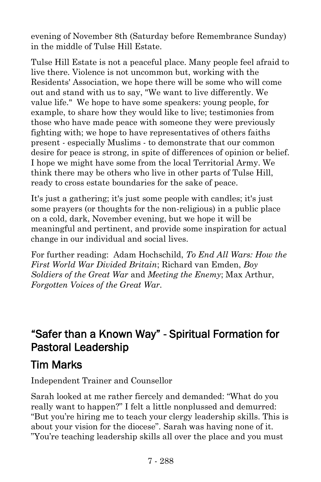evening of November 8th (Saturday before Remembrance Sunday) in the middle of Tulse Hill Estate.

Tulse Hill Estate is not a peaceful place. Many people feel afraid to live there. Violence is not uncommon but, working with the Residents' Association, we hope there will be some who will come out and stand with us to say, "We want to live differently. We value life." We hope to have some speakers: young people, for example, to share how they would like to live; testimonies from those who have made peace with someone they were previously fighting with; we hope to have representatives of others faiths present - especially Muslims - to demonstrate that our common desire for peace is strong, in spite of differences of opinion or belief. I hope we might have some from the local Territorial Army. We think there may be others who live in other parts of Tulse Hill, ready to cross estate boundaries for the sake of peace.

It's just a gathering; it's just some people with candles; it's just some prayers (or thoughts for the non-religious) in a public place on a cold, dark, November evening, but we hope it will be meaningful and pertinent, and provide some inspiration for actual change in our individual and social lives.

For further reading: Adam Hochschild, *To End All Wars: How the First World War Divided Britain*; Richard van Emden, *Boy Soldiers of the Great War* and *Meeting the Enemy*; Max Arthur, *Forgotten Voices of the Great War.*

### "Safer than a Known Way" - Spiritual Formation for Pastoral Leadership

# Tim Marks

Independent Trainer and Counsellor

Sarah looked at me rather fiercely and demanded: "What do you really want to happen?" I felt a little nonplussed and demurred: "But you're hiring me to teach your clergy leadership skills. This is about your vision for the diocese". Sarah was having none of it. "You're teaching leadership skills all over the place and you must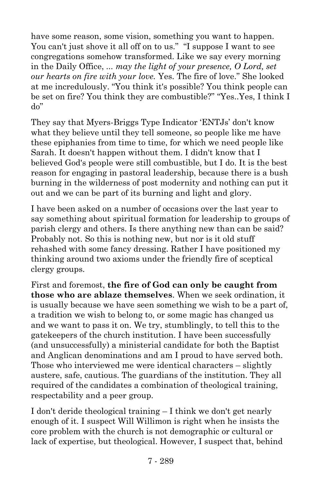have some reason, some vision, something you want to happen. You can't just shove it all off on to us." "I suppose I want to see congregations somehow transformed. Like we say every morning in the Daily Office, *... may the light of your presence, O Lord, set our hearts on fire with your love.* Yes. The fire of love." She looked at me incredulously. "You think it's possible? You think people can be set on fire? You think they are combustible?" "Yes..Yes, I think I do"

They say that Myers-Briggs Type Indicator 'ENTJs' don't know what they believe until they tell someone, so people like me have these epiphanies from time to time, for which we need people like Sarah. It doesn't happen without them. I didn't know that I believed God's people were still combustible, but I do. It is the best reason for engaging in pastoral leadership, because there is a bush burning in the wilderness of post modernity and nothing can put it out and we can be part of its burning and light and glory.

I have been asked on a number of occasions over the last year to say something about spiritual formation for leadership to groups of parish clergy and others. Is there anything new than can be said? Probably not. So this is nothing new, but nor is it old stuff rehashed with some fancy dressing. Rather I have positioned my thinking around two axioms under the friendly fire of sceptical clergy groups.

First and foremost, **the fire of God can only be caught from those who are ablaze themselves**. When we seek ordination, it is usually because we have seen something we wish to be a part of, a tradition we wish to belong to, or some magic has changed us and we want to pass it on. We try, stumblingly, to tell this to the gatekeepers of the church institution. I have been successfully (and unsuccessfully) a ministerial candidate for both the Baptist and Anglican denominations and am I proud to have served both. Those who interviewed me were identical characters – slightly austere, safe, cautious. The guardians of the institution. They all required of the candidates a combination of theological training, respectability and a peer group.

I don't deride theological training – I think we don't get nearly enough of it. I suspect Will Willimon is right when he insists the core problem with the church is not demographic or cultural or lack of expertise, but theological. However, I suspect that, behind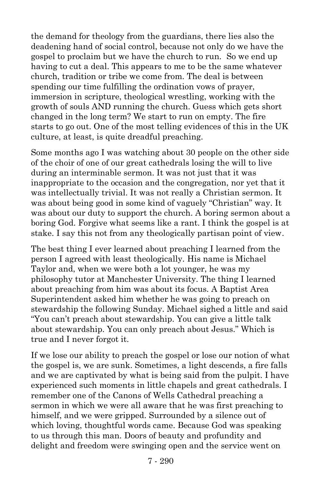the demand for theology from the guardians, there lies also the deadening hand of social control, because not only do we have the gospel to proclaim but we have the church to run. So we end up having to cut a deal. This appears to me to be the same whatever church, tradition or tribe we come from. The deal is between spending our time fulfilling the ordination vows of prayer, immersion in scripture, theological wrestling, working with the growth of souls AND running the church. Guess which gets short changed in the long term? We start to run on empty. The fire starts to go out. One of the most telling evidences of this in the UK culture, at least, is quite dreadful preaching.

Some months ago I was watching about 30 people on the other side of the choir of one of our great cathedrals losing the will to live during an interminable sermon. It was not just that it was inappropriate to the occasion and the congregation, nor yet that it was intellectually trivial. It was not really a Christian sermon. It was about being good in some kind of vaguely "Christian" way. It was about our duty to support the church. A boring sermon about a boring God. Forgive what seems like a rant. I think the gospel is at stake. I say this not from any theologically partisan point of view.

The best thing I ever learned about preaching I learned from the person I agreed with least theologically. His name is Michael Taylor and, when we were both a lot younger, he was my philosophy tutor at Manchester University. The thing I learned about preaching from him was about its focus. A Baptist Area Superintendent asked him whether he was going to preach on stewardship the following Sunday. Michael sighed a little and said "You can't preach about stewardship. You can give a little talk about stewardship. You can only preach about Jesus." Which is true and I never forgot it.

If we lose our ability to preach the gospel or lose our notion of what the gospel is, we are sunk. Sometimes, a light descends, a fire falls and we are captivated by what is being said from the pulpit. I have experienced such moments in little chapels and great cathedrals. I remember one of the Canons of Wells Cathedral preaching a sermon in which we were all aware that he was first preaching to himself, and we were gripped. Surrounded by a silence out of which loving, thoughtful words came. Because God was speaking to us through this man. Doors of beauty and profundity and delight and freedom were swinging open and the service went on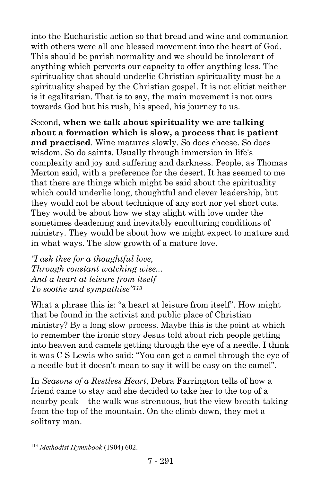into the Eucharistic action so that bread and wine and communion with others were all one blessed movement into the heart of God. This should be parish normality and we should be intolerant of anything which perverts our capacity to offer anything less. The spirituality that should underlie Christian spirituality must be a spirituality shaped by the Christian gospel. It is not elitist neither is it egalitarian. That is to say, the main movement is not ours towards God but his rush, his speed, his journey to us.

Second, **when we talk about spirituality we are talking about a formation which is slow, a process that is patient and practised**. Wine matures slowly. So does cheese. So does wisdom. So do saints. Usually through immersion in life's complexity and joy and suffering and darkness. People, as Thomas Merton said, with a preference for the desert. It has seemed to me that there are things which might be said about the spirituality which could underlie long, thoughtful and clever leadership, but they would not be about technique of any sort nor yet short cuts. They would be about how we stay alight with love under the sometimes deadening and inevitably enculturing conditions of ministry. They would be about how we might expect to mature and in what ways. The slow growth of a mature love.

*"I ask thee for a thoughtful love, Through constant watching wise... And a heart at leisure from itself To soothe and sympathise"<sup>113</sup>*

What a phrase this is: "a heart at leisure from itself". How might that be found in the activist and public place of Christian ministry? By a long slow process. Maybe this is the point at which to remember the ironic story Jesus told about rich people getting into heaven and camels getting through the eye of a needle. I think it was C S Lewis who said: "You can get a camel through the eye of a needle but it doesn't mean to say it will be easy on the camel".

In *Seasons of a Restless Heart*, Debra Farrington tells of how a friend came to stay and she decided to take her to the top of a nearby peak – the walk was strenuous, but the view breath-taking from the top of the mountain. On the climb down, they met a solitary man.

 $\overline{a}$ 

<sup>113</sup> *Methodist Hymnbook* (1904) 602.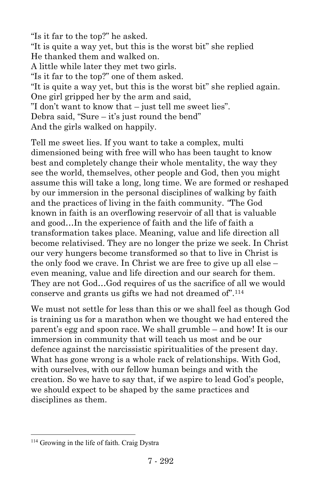"Is it far to the top?" he asked. "It is quite a way yet, but this is the worst bit" she replied He thanked them and walked on. A little while later they met two girls. "Is it far to the top?" one of them asked. "It is quite a way yet, but this is the worst bit" she replied again. One girl gripped her by the arm and said, "I don't want to know that – just tell me sweet lies". Debra said, "Sure – it's just round the bend" And the girls walked on happily.

Tell me sweet lies. If you want to take a complex, multi dimensioned being with free will who has been taught to know best and completely change their whole mentality, the way they see the world, themselves, other people and God, then you might assume this will take a long, long time. We are formed or reshaped by our immersion in the personal disciplines of walking by faith and the practices of living in the faith community. *"*The God known in faith is an overflowing reservoir of all that is valuable and good…In the experience of faith and the life of faith a transformation takes place. Meaning, value and life direction all become relativised. They are no longer the prize we seek. In Christ our very hungers become transformed so that to live in Christ is the only food we crave. In Christ we are free to give up all else – even meaning, value and life direction and our search for them. They are not God…God requires of us the sacrifice of all we would conserve and grants us gifts we had not dreamed of".<sup>114</sup>

We must not settle for less than this or we shall feel as though God is training us for a marathon when we thought we had entered the parent's egg and spoon race. We shall grumble – and how! It is our immersion in community that will teach us most and be our defence against the narcissistic spiritualities of the present day. What has gone wrong is a whole rack of relationships. With God, with ourselves, with our fellow human beings and with the creation. So we have to say that, if we aspire to lead God's people, we should expect to be shaped by the same practices and disciplines as them.

 $\overline{a}$ 

<sup>114</sup> Growing in the life of faith. Craig Dystra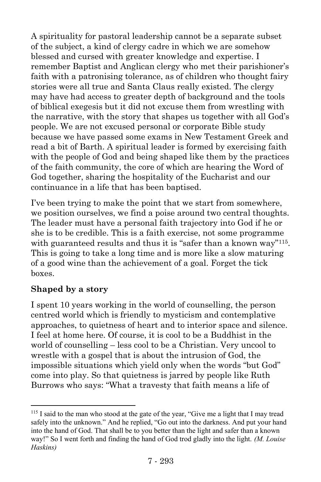A spirituality for pastoral leadership cannot be a separate subset of the subject, a kind of clergy cadre in which we are somehow blessed and cursed with greater knowledge and expertise. I remember Baptist and Anglican clergy who met their parishioner's faith with a patronising tolerance, as of children who thought fairy stories were all true and Santa Claus really existed. The clergy may have had access to greater depth of background and the tools of biblical exegesis but it did not excuse them from wrestling with the narrative, with the story that shapes us together with all God's people. We are not excused personal or corporate Bible study because we have passed some exams in New Testament Greek and read a bit of Barth. A spiritual leader is formed by exercising faith with the people of God and being shaped like them by the practices of the faith community, the core of which are hearing the Word of God together, sharing the hospitality of the Eucharist and our continuance in a life that has been baptised.

I've been trying to make the point that we start from somewhere, we position ourselves, we find a poise around two central thoughts. The leader must have a personal faith trajectory into God if he or she is to be credible. This is a faith exercise, not some programme with guaranteed results and thus it is "safer than a known way"<sup>115</sup>. This is going to take a long time and is more like a slow maturing of a good wine than the achievement of a goal. Forget the tick boxes.

#### **Shaped by a story**

 $\overline{a}$ 

I spent 10 years working in the world of counselling, the person centred world which is friendly to mysticism and contemplative approaches, to quietness of heart and to interior space and silence. I feel at home here. Of course, it is cool to be a Buddhist in the world of counselling – less cool to be a Christian. Very uncool to wrestle with a gospel that is about the intrusion of God, the impossible situations which yield only when the words "but God" come into play. So that quietness is jarred by people like Ruth Burrows who says: "What a travesty that faith means a life of

<sup>&</sup>lt;sup>115</sup> I said to the man who stood at the gate of the year, "Give me a light that I may tread safely into the unknown." And he replied, "Go out into the darkness. And put your hand into the hand of God. That shall be to you better than the light and safer than a known way!" So I went forth and finding the hand of God trod gladly into the light. *(M. Louise Haskins)*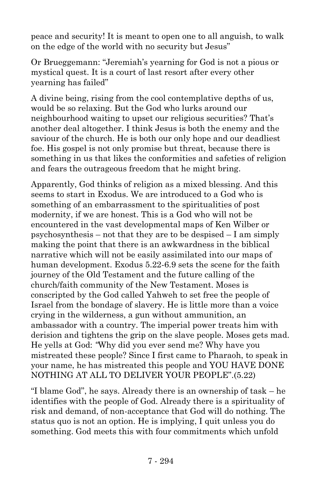peace and security! It is meant to open one to all anguish, to walk on the edge of the world with no security but Jesus"

Or Brueggemann: "Jeremiah's yearning for God is not a pious or mystical quest. It is a court of last resort after every other yearning has failed"

A divine being, rising from the cool contemplative depths of us, would be so relaxing. But the God who lurks around our neighbourhood waiting to upset our religious securities? That's another deal altogether. I think Jesus is both the enemy and the saviour of the church. He is both our only hope and our deadliest foe. His gospel is not only promise but threat, because there is something in us that likes the conformities and safeties of religion and fears the outrageous freedom that he might bring.

Apparently, God thinks of religion as a mixed blessing. And this seems to start in Exodus. We are introduced to a God who is something of an embarrassment to the spiritualities of post modernity, if we are honest. This is a God who will not be encountered in the vast developmental maps of Ken Wilber or psychosynthesis – not that they are to be despised – I am simply making the point that there is an awkwardness in the biblical narrative which will not be easily assimilated into our maps of human development. Exodus 5.22-6.9 sets the scene for the faith journey of the Old Testament and the future calling of the church/faith community of the New Testament. Moses is conscripted by the God called Yahweh to set free the people of Israel from the bondage of slavery. He is little more than a voice crying in the wilderness, a gun without ammunition, an ambassador with a country. The imperial power treats him with derision and tightens the grip on the slave people. Moses gets mad. He yells at God: *"*Why did you ever send me? Why have you mistreated these people? Since I first came to Pharaoh, to speak in your name, he has mistreated this people and YOU HAVE DONE NOTHING AT ALL TO DELIVER YOUR PEOPLE".(5.22)

"I blame God", he says. Already there is an ownership of task – he identifies with the people of God. Already there is a spirituality of risk and demand, of non-acceptance that God will do nothing. The status quo is not an option. He is implying, I quit unless you do something. God meets this with four commitments which unfold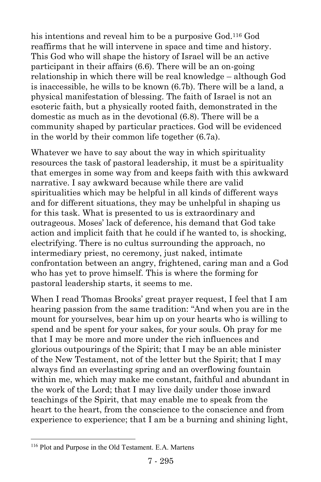his intentions and reveal him to be a purposive God.<sup>116</sup> God reaffirms that he will intervene in space and time and history. This God who will shape the history of Israel will be an active participant in their affairs (6.6). There will be an on-going relationship in which there will be real knowledge – although God is inaccessible, he wills to be known (6.7b). There will be a land, a physical manifestation of blessing. The faith of Israel is not an esoteric faith, but a physically rooted faith, demonstrated in the domestic as much as in the devotional (6.8). There will be a community shaped by particular practices. God will be evidenced in the world by their common life together (6.7a).

Whatever we have to say about the way in which spirituality resources the task of pastoral leadership, it must be a spirituality that emerges in some way from and keeps faith with this awkward narrative. I say awkward because while there are valid spiritualities which may be helpful in all kinds of different ways and for different situations, they may be unhelpful in shaping us for this task. What is presented to us is extraordinary and outrageous. Moses' lack of deference, his demand that God take action and implicit faith that he could if he wanted to, is shocking, electrifying. There is no cultus surrounding the approach, no intermediary priest, no ceremony, just naked, intimate confrontation between an angry, frightened, caring man and a God who has yet to prove himself. This is where the forming for pastoral leadership starts, it seems to me.

When I read Thomas Brooks' great prayer request, I feel that I am hearing passion from the same tradition: "And when you are in the mount for yourselves, bear him up on your hearts who is willing to spend and be spent for your sakes, for your souls. Oh pray for me that I may be more and more under the rich influences and glorious outpourings of the Spirit; that I may be an able minister of the New Testament, not of the letter but the Spirit; that I may always find an everlasting spring and an overflowing fountain within me, which may make me constant, faithful and abundant in the work of the Lord; that I may live daily under those inward teachings of the Spirit, that may enable me to speak from the heart to the heart, from the conscience to the conscience and from experience to experience; that I am be a burning and shining light,

 $\overline{a}$ 

<sup>116</sup> Plot and Purpose in the Old Testament. E.A. Martens